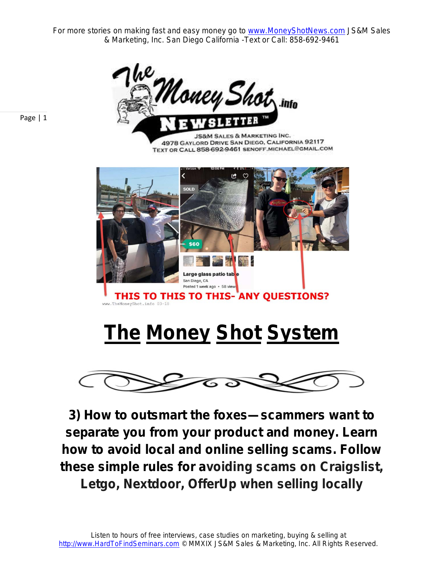For more stories on making fast and easy money go to **www.MoneyShotNews.com JS&M Sales** & Marketing, Inc. San Diego California -Text or Call: 858-692-9461



Page | 1

**JS&M SALES & MARKETING INC.** 4978 GAYLORD DRIVE SAN DIEGO, CALIFORNIA 92117 TEXT OR CALL 858-692-9461 SENOFF MICHAEL@GMAIL.COM



# **The Money Shot System**



**3) How to outsmart the foxes—scammers want to separate you from your product and money. Learn how to avoid local and online selling scams. Follow these simple rules for avoiding scams on Craigslist, Letgo, Nextdoor, OfferUp when selling locally**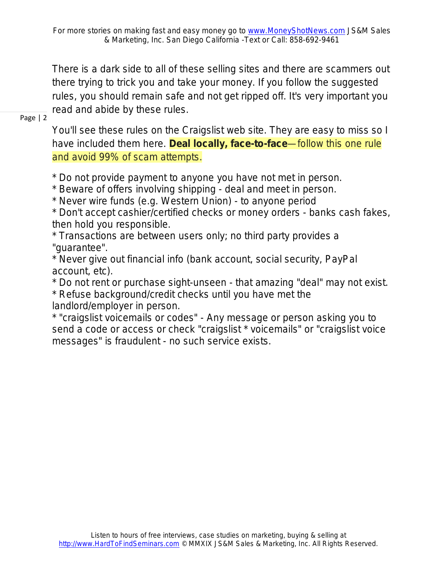There is a dark side to all of these selling sites and there are scammers out there trying to trick you and take your money. If you follow the suggested rules, you should remain safe and not get ripped off. It's very important you read and abide by these rules.

Page | 2

You'll see these rules on the Craigslist web site. They are easy to miss so I have included them here. **Deal locally, face-to-face**—follow this one rule and avoid 99% of scam attempts.

\* Do not provide payment to anyone you have not met in person.

\* Beware of offers involving shipping - deal and meet in person.

\* Never wire funds (e.g. Western Union) - to anyone period

\* Don't accept cashier/certified checks or money orders - banks cash fakes, then hold you responsible.

\* Transactions are between users only; no third party provides a "guarantee".

\* Never give out financial info (bank account, social security, PayPal account, etc).

\* Do not rent or purchase sight-unseen - that amazing "deal" may not exist.

\* Refuse background/credit checks until you have met the landlord/employer in person.

\* "craigslist voicemails or codes" - Any message or person asking you to send a code or access or check "craigslist \* voicemails" or "craigslist voice messages" is fraudulent - no such service exists.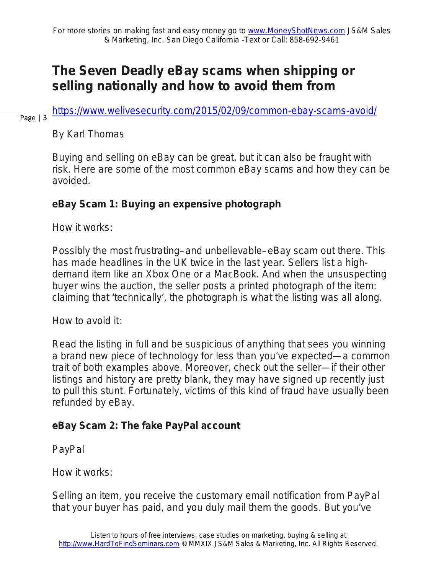### **The Seven Deadly eBay scams when shipping or selling nationally and how to avoid them from**

<https://www.welivesecurity.com/2015/02/09/common-ebay-scams-avoid/>

Page | 3

By Karl Thomas

Buying and selling on eBay can be great, but it can also be fraught with risk. Here are some of the most common eBay scams and how they can be avoided.

#### **eBay Scam 1: Buying an expensive photograph**

How it works:

Possibly the most frustrating–and unbelievable–eBay scam out there. This has made headlines in the UK twice in the last year. Sellers list a highdemand item like an Xbox One or a MacBook. And when the unsuspecting buyer wins the auction, the seller posts a printed photograph of the item: claiming that 'technically', the photograph is what the listing was all along.

How to avoid it:

Read the listing in full and be suspicious of anything that sees you winning a brand new piece of technology for less than you've expected—a common trait of both examples above. Moreover, check out the seller—if their other listings and history are pretty blank, they may have signed up recently just to pull this stunt. Fortunately, victims of this kind of fraud have usually been refunded by eBay.

#### **eBay Scam 2: The fake PayPal account**

PayPal

How it works:

Selling an item, you receive the customary email notification from PayPal that your buyer has paid, and you duly mail them the goods. But you've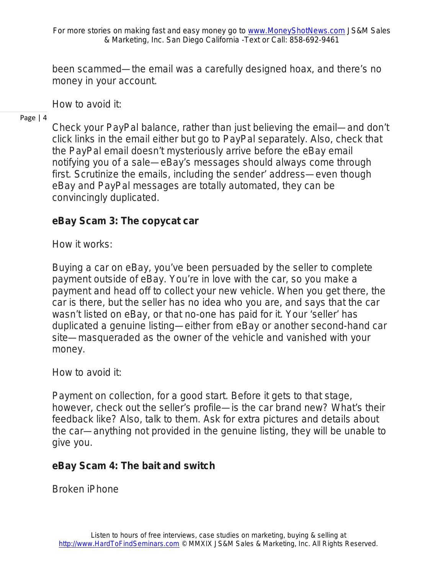been scammed—the email was a carefully designed hoax, and there's no money in your account.

How to avoid it:

Page | 4

Check your PayPal balance, rather than just believing the email—and don't click links in the email either but go to PayPal separately. Also, check that the PayPal email doesn't mysteriously arrive before the eBay email notifying you of a sale—eBay's messages should always come through first. Scrutinize the emails, including the sender' address—even though eBay and PayPal messages are totally automated, they can be convincingly duplicated.

#### **eBay Scam 3: The copycat car**

How it works:

Buying a car on eBay, you've been persuaded by the seller to complete payment outside of eBay. You're in love with the car, so you make a payment and head off to collect your new vehicle. When you get there, the car is there, but the seller has no idea who you are, and says that the car wasn't listed on eBay, or that no-one has paid for it. Your 'seller' has duplicated a genuine listing—either from eBay or another second-hand car site—masqueraded as the owner of the vehicle and vanished with your money.

How to avoid it:

Payment on collection, for a good start. Before it gets to that stage, however, check out the seller's profile—is the car brand new? What's their feedback like? Also, talk to them. Ask for extra pictures and details about the car—anything not provided in the genuine listing, they will be unable to give you.

#### **eBay Scam 4: The bait and switch**

Broken iPhone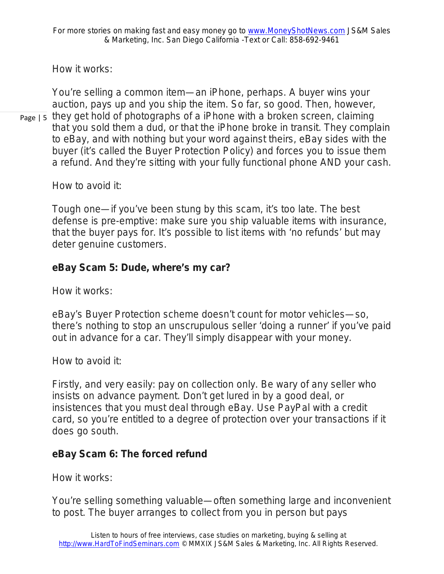How it works:

You're selling a common item—an iPhone, perhaps. A buyer wins your auction, pays up and you ship the item. So far, so good. Then, however,

 $_{\text{Page 15}}$  they get hold of photographs of a iPhone with a broken screen, claiming that you sold them a dud, or that the iPhone broke in transit. They complain to eBay, and with nothing but your word against theirs, eBay sides with the buyer (it's called the Buyer Protection Policy) and forces you to issue them a refund. And they're sitting with your fully functional phone AND your cash.

How to avoid it:

Tough one—if you've been stung by this scam, it's too late. The best defense is pre-emptive: make sure you ship valuable items with insurance, that the buyer pays for. It's possible to list items with 'no refunds' but may deter genuine customers.

#### **eBay Scam 5: Dude, where's my car?**

How it works:

eBay's Buyer Protection scheme doesn't count for motor vehicles—so, there's nothing to stop an unscrupulous seller 'doing a runner' if you've paid out in advance for a car. They'll simply disappear with your money.

How to avoid it:

Firstly, and very easily: pay on collection only. Be wary of any seller who insists on advance payment. Don't get lured in by a good deal, or insistences that you must deal through eBay. Use PayPal with a credit card, so you're entitled to a degree of protection over your transactions if it does go south.

#### **eBay Scam 6: The forced refund**

How it works:

You're selling something valuable—often something large and inconvenient to post. The buyer arranges to collect from you in person but pays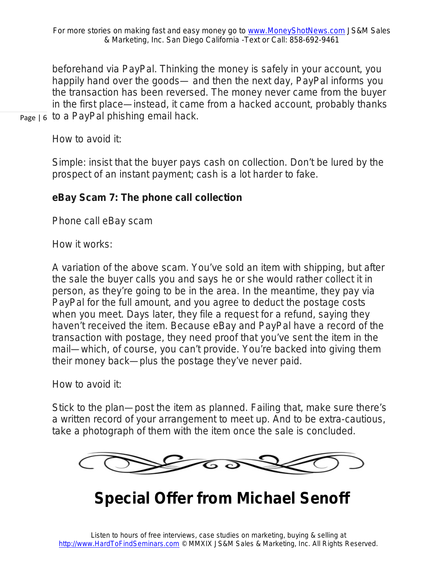$_{\text{Page }|\,6}$  to a PayPal phishing email hack. beforehand via PayPal. Thinking the money is safely in your account, you happily hand over the goods— and then the next day, PayPal informs you the transaction has been reversed. The money never came from the buyer in the first place—instead, it came from a hacked account, probably thanks

How to avoid it:

Simple: insist that the buyer pays cash on collection. Don't be lured by the prospect of an instant payment; cash is a lot harder to fake.

#### **eBay Scam 7: The phone call collection**

Phone call eBay scam

How it works:

A variation of the above scam. You've sold an item with shipping, but after the sale the buyer calls you and says he or she would rather collect it in person, as they're going to be in the area. In the meantime, they pay via PayPal for the full amount, and you agree to deduct the postage costs when you meet. Days later, they file a request for a refund, saying they haven't received the item. Because eBay and PayPal have a record of the transaction with postage, they need proof that you've sent the item in the mail—which, of course, you can't provide. You're backed into giving them their money back—plus the postage they've never paid.

How to avoid it:

Stick to the plan—post the item as planned. Failing that, make sure there's a written record of your arrangement to meet up. And to be extra-cautious, take a photograph of them with the item once the sale is concluded.



## **Special Offer from Michael Senoff**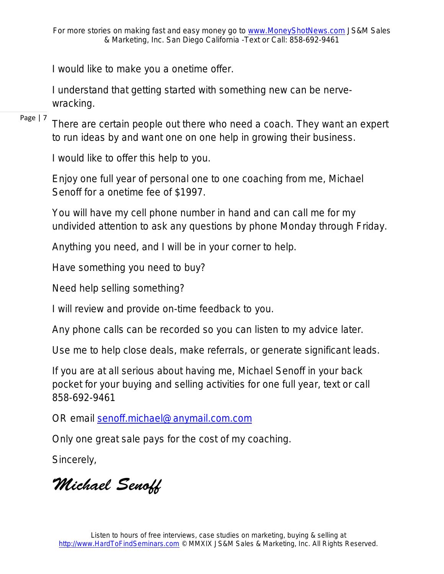I would like to make you a onetime offer.

I understand that getting started with something new can be nervewracking.

Page | 7

There are certain people out there who need a coach. They want an expert to run ideas by and want one on one help in growing their business.

I would like to offer this help to you.

Enjoy one full year of personal one to one coaching from me, Michael Senoff for a onetime fee of \$1997.

You will have my cell phone number in hand and can call me for my undivided attention to ask any questions by phone Monday through Friday.

Anything you need, and I will be in your corner to help.

Have something you need to buy?

Need help selling something?

I will review and provide on-time feedback to you.

Any phone calls can be recorded so you can listen to my advice later.

Use me to help close deals, make referrals, or generate significant leads.

If you are at all serious about having me, Michael Senoff in your back pocket for your buying and selling activities for one full year, text or call 858-692-9461

OR email senoff.michael@anymail.com.com

Only one great sale pays for the cost of my coaching.

Sincerely,

*Michael Senoff*